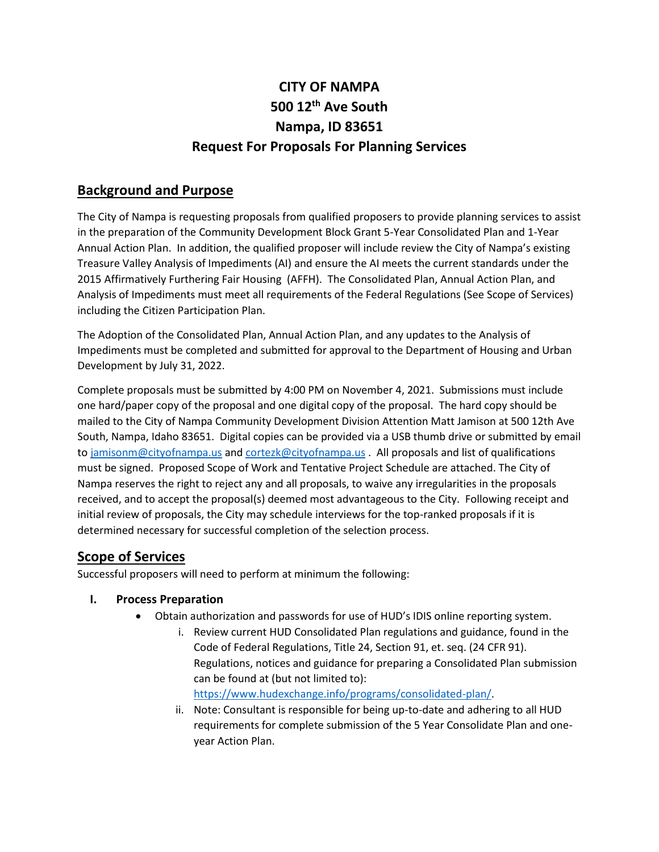# **CITY OF NAMPA 500 12th Ave South Nampa, ID 83651 Request For Proposals For Planning Services**

# **Background and Purpose**

The City of Nampa is requesting proposals from qualified proposers to provide planning services to assist in the preparation of the Community Development Block Grant 5-Year Consolidated Plan and 1-Year Annual Action Plan. In addition, the qualified proposer will include review the City of Nampa's existing Treasure Valley Analysis of Impediments (AI) and ensure the AI meets the current standards under the 2015 Affirmatively Furthering Fair Housing (AFFH). The Consolidated Plan, Annual Action Plan, and Analysis of Impediments must meet all requirements of the Federal Regulations (See Scope of Services) including the Citizen Participation Plan.

The Adoption of the Consolidated Plan, Annual Action Plan, and any updates to the Analysis of Impediments must be completed and submitted for approval to the Department of Housing and Urban Development by July 31, 2022.

Complete proposals must be submitted by 4:00 PM on November 4, 2021. Submissions must include one hard/paper copy of the proposal and one digital copy of the proposal. The hard copy should be mailed to the City of Nampa Community Development Division Attention Matt Jamison at 500 12th Ave South, Nampa, Idaho 83651. Digital copies can be provided via a USB thumb drive or submitted by email to [jamisonm@cityofnampa.us](mailto:jamisonm@cityofnampa.us) and [cortezk@cityofnampa.us](mailto:cortezk@cityofnampa.us) . All proposals and list of qualifications must be signed. Proposed Scope of Work and Tentative Project Schedule are attached. The City of Nampa reserves the right to reject any and all proposals, to waive any irregularities in the proposals received, and to accept the proposal(s) deemed most advantageous to the City. Following receipt and initial review of proposals, the City may schedule interviews for the top-ranked proposals if it is determined necessary for successful completion of the selection process.

# **Scope of Services**

Successful proposers will need to perform at minimum the following:

# **I. Process Preparation**

- Obtain authorization and passwords for use of HUD's IDIS online reporting system.
	- i. Review current HUD Consolidated Plan regulations and guidance, found in the Code of Federal Regulations, Title 24, Section 91, et. seq. (24 CFR 91). Regulations, notices and guidance for preparing a Consolidated Plan submission can be found at (but not limited to): [https://www.hudexchange.info/programs/consolidated-plan/.](https://www.hudexchange.info/programs/consolidated-plan/)
	- ii. Note: Consultant is responsible for being up-to-date and adhering to all HUD requirements for complete submission of the 5 Year Consolidate Plan and oneyear Action Plan.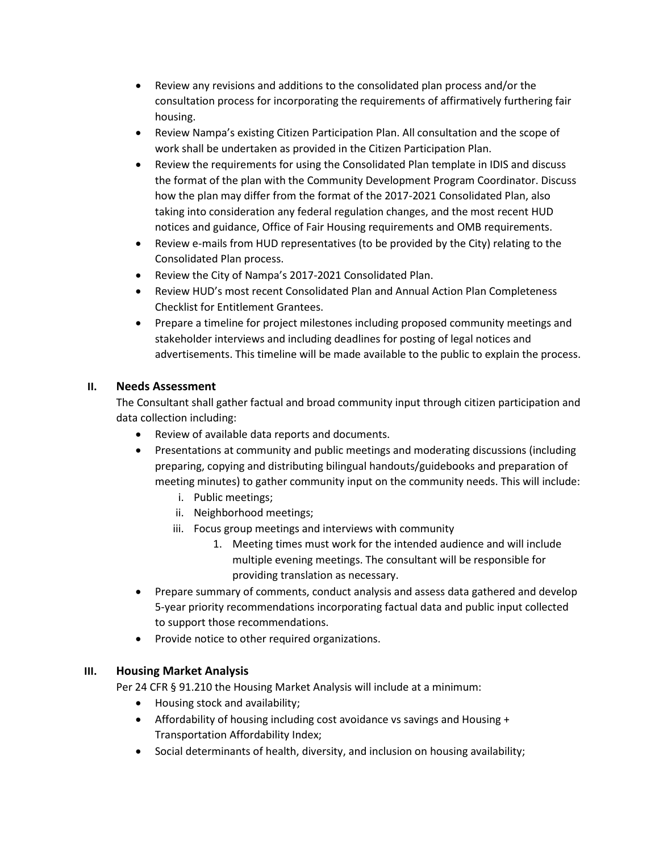- Review any revisions and additions to the consolidated plan process and/or the consultation process for incorporating the requirements of affirmatively furthering fair housing.
- Review Nampa's existing Citizen Participation Plan. All consultation and the scope of work shall be undertaken as provided in the Citizen Participation Plan.
- Review the requirements for using the Consolidated Plan template in IDIS and discuss the format of the plan with the Community Development Program Coordinator. Discuss how the plan may differ from the format of the 2017-2021 Consolidated Plan, also taking into consideration any federal regulation changes, and the most recent HUD notices and guidance, Office of Fair Housing requirements and OMB requirements.
- Review e-mails from HUD representatives (to be provided by the City) relating to the Consolidated Plan process.
- Review the City of Nampa's 2017-2021 Consolidated Plan.
- Review HUD's most recent Consolidated Plan and Annual Action Plan Completeness Checklist for Entitlement Grantees.
- Prepare a timeline for project milestones including proposed community meetings and stakeholder interviews and including deadlines for posting of legal notices and advertisements. This timeline will be made available to the public to explain the process.

### **II. Needs Assessment**

The Consultant shall gather factual and broad community input through citizen participation and data collection including:

- Review of available data reports and documents.
- Presentations at community and public meetings and moderating discussions (including preparing, copying and distributing bilingual handouts/guidebooks and preparation of meeting minutes) to gather community input on the community needs. This will include:
	- i. Public meetings;
	- ii. Neighborhood meetings;
	- iii. Focus group meetings and interviews with community
		- 1. Meeting times must work for the intended audience and will include multiple evening meetings. The consultant will be responsible for providing translation as necessary.
- Prepare summary of comments, conduct analysis and assess data gathered and develop 5-year priority recommendations incorporating factual data and public input collected to support those recommendations.
- Provide notice to other required organizations.

### **III. Housing Market Analysis**

Per 24 CFR § 91.210 the Housing Market Analysis will include at a minimum:

- Housing stock and availability;
- Affordability of housing including cost avoidance vs savings and Housing + Transportation Affordability Index;
- Social determinants of health, diversity, and inclusion on housing availability;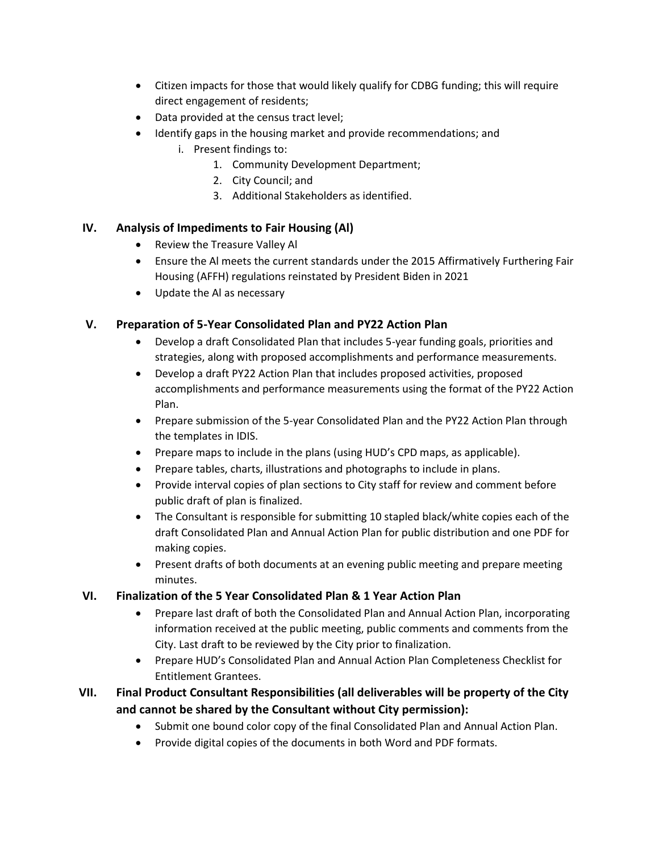- Citizen impacts for those that would likely qualify for CDBG funding; this will require direct engagement of residents;
- Data provided at the census tract level;
- Identify gaps in the housing market and provide recommendations; and
	- i. Present findings to:
		- 1. Community Development Department;
		- 2. City Council; and
		- 3. Additional Stakeholders as identified.

### **IV. Analysis of Impediments to Fair Housing (Al)**

- Review the Treasure Valley Al
- Ensure the Al meets the current standards under the 2015 Affirmatively Furthering Fair Housing (AFFH) regulations reinstated by President Biden in 2021
- Update the Al as necessary

### **V. Preparation of 5-Year Consolidated Plan and PY22 Action Plan**

- Develop a draft Consolidated Plan that includes 5-year funding goals, priorities and strategies, along with proposed accomplishments and performance measurements.
- Develop a draft PY22 Action Plan that includes proposed activities, proposed accomplishments and performance measurements using the format of the PY22 Action Plan.
- Prepare submission of the 5-year Consolidated Plan and the PY22 Action Plan through the templates in IDIS.
- Prepare maps to include in the plans (using HUD's CPD maps, as applicable).
- Prepare tables, charts, illustrations and photographs to include in plans.
- Provide interval copies of plan sections to City staff for review and comment before public draft of plan is finalized.
- The Consultant is responsible for submitting 10 stapled black/white copies each of the draft Consolidated Plan and Annual Action Plan for public distribution and one PDF for making copies.
- Present drafts of both documents at an evening public meeting and prepare meeting minutes.

### **VI. Finalization of the 5 Year Consolidated Plan & 1 Year Action Plan**

- Prepare last draft of both the Consolidated Plan and Annual Action Plan, incorporating information received at the public meeting, public comments and comments from the City. Last draft to be reviewed by the City prior to finalization.
- Prepare HUD's Consolidated Plan and Annual Action Plan Completeness Checklist for Entitlement Grantees.

# **VII. Final Product Consultant Responsibilities (all deliverables will be property of the City and cannot be shared by the Consultant without City permission):**

- Submit one bound color copy of the final Consolidated Plan and Annual Action Plan.
- Provide digital copies of the documents in both Word and PDF formats.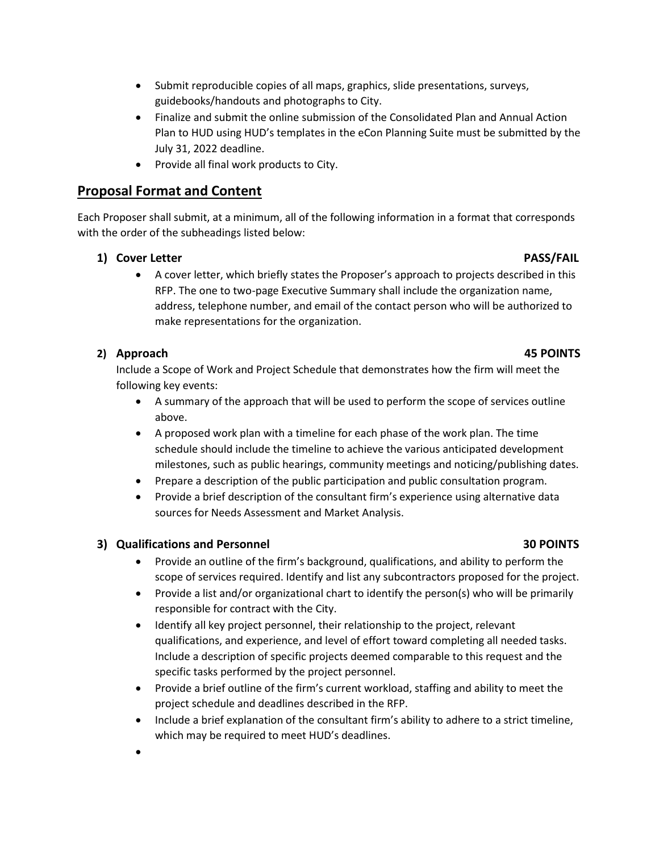- Submit reproducible copies of all maps, graphics, slide presentations, surveys, guidebooks/handouts and photographs to City.
- Finalize and submit the online submission of the Consolidated Plan and Annual Action Plan to HUD using HUD's templates in the eCon Planning Suite must be submitted by the July 31, 2022 deadline.
- Provide all final work products to City.

# **Proposal Format and Content**

Each Proposer shall submit, at a minimum, all of the following information in a format that corresponds with the order of the subheadings listed below:

### **1) Cover Letter PASS/FAIL**

• A cover letter, which briefly states the Proposer's approach to projects described in this RFP. The one to two-page Executive Summary shall include the organization name, address, telephone number, and email of the contact person who will be authorized to make representations for the organization.

### **2) Approach 45 POINTS**

Include a Scope of Work and Project Schedule that demonstrates how the firm will meet the following key events:

- A summary of the approach that will be used to perform the scope of services outline above.
- A proposed work plan with a timeline for each phase of the work plan. The time schedule should include the timeline to achieve the various anticipated development milestones, such as public hearings, community meetings and noticing/publishing dates.
- Prepare a description of the public participation and public consultation program.
- Provide a brief description of the consultant firm's experience using alternative data sources for Needs Assessment and Market Analysis.

### **3)** Qualifications and Personnel **30 POINTS** 30 POINTS

- Provide an outline of the firm's background, qualifications, and ability to perform the scope of services required. Identify and list any subcontractors proposed for the project.
- Provide a list and/or organizational chart to identify the person(s) who will be primarily responsible for contract with the City.
- Identify all key project personnel, their relationship to the project, relevant qualifications, and experience, and level of effort toward completing all needed tasks. Include a description of specific projects deemed comparable to this request and the specific tasks performed by the project personnel.
- Provide a brief outline of the firm's current workload, staffing and ability to meet the project schedule and deadlines described in the RFP.
- Include a brief explanation of the consultant firm's ability to adhere to a strict timeline, which may be required to meet HUD's deadlines.
- •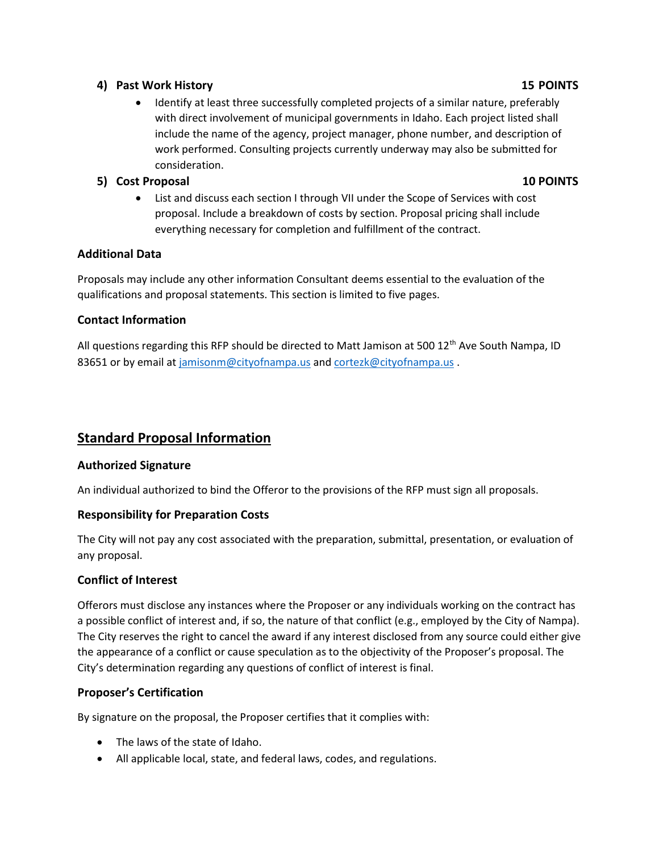### **4) Past Work History 15 POINTS**

• Identify at least three successfully completed projects of a similar nature, preferably with direct involvement of municipal governments in Idaho. Each project listed shall include the name of the agency, project manager, phone number, and description of work performed. Consulting projects currently underway may also be submitted for consideration.

# **5) Cost Proposal 10 POINTS**

• List and discuss each section I through VII under the Scope of Services with cost proposal. Include a breakdown of costs by section. Proposal pricing shall include everything necessary for completion and fulfillment of the contract.

# **Additional Data**

Proposals may include any other information Consultant deems essential to the evaluation of the qualifications and proposal statements. This section is limited to five pages.

# **Contact Information**

All questions regarding this RFP should be directed to Matt Jamison at 500 12<sup>th</sup> Ave South Nampa, ID 83651 or by email at [jamisonm@cityofnampa.us](mailto:jamisonm@cityofnampa.us) an[d cortezk@cityofnampa.us](mailto:cortezk@cityofnampa.us).

# **Standard Proposal Information**

# **Authorized Signature**

An individual authorized to bind the Offeror to the provisions of the RFP must sign all proposals.

# **Responsibility for Preparation Costs**

The City will not pay any cost associated with the preparation, submittal, presentation, or evaluation of any proposal.

# **Conflict of Interest**

Offerors must disclose any instances where the Proposer or any individuals working on the contract has a possible conflict of interest and, if so, the nature of that conflict (e.g., employed by the City of Nampa). The City reserves the right to cancel the award if any interest disclosed from any source could either give the appearance of a conflict or cause speculation as to the objectivity of the Proposer's proposal. The City's determination regarding any questions of conflict of interest is final.

# **Proposer's Certification**

By signature on the proposal, the Proposer certifies that it complies with:

- The laws of the state of Idaho.
- All applicable local, state, and federal laws, codes, and regulations.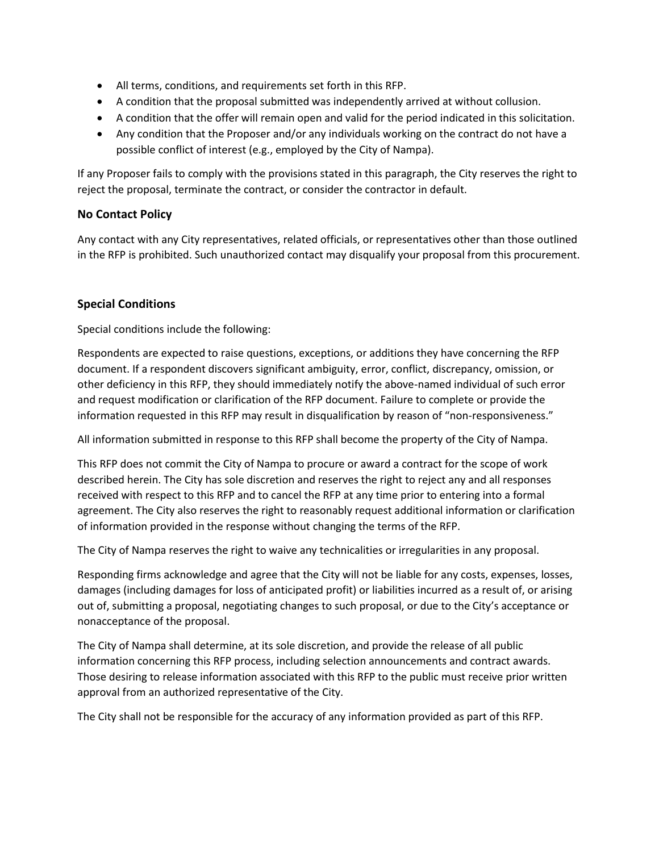- All terms, conditions, and requirements set forth in this RFP.
- A condition that the proposal submitted was independently arrived at without collusion.
- A condition that the offer will remain open and valid for the period indicated in this solicitation.
- Any condition that the Proposer and/or any individuals working on the contract do not have a possible conflict of interest (e.g., employed by the City of Nampa).

If any Proposer fails to comply with the provisions stated in this paragraph, the City reserves the right to reject the proposal, terminate the contract, or consider the contractor in default.

### **No Contact Policy**

Any contact with any City representatives, related officials, or representatives other than those outlined in the RFP is prohibited. Such unauthorized contact may disqualify your proposal from this procurement.

### **Special Conditions**

Special conditions include the following:

Respondents are expected to raise questions, exceptions, or additions they have concerning the RFP document. If a respondent discovers significant ambiguity, error, conflict, discrepancy, omission, or other deficiency in this RFP, they should immediately notify the above-named individual of such error and request modification or clarification of the RFP document. Failure to complete or provide the information requested in this RFP may result in disqualification by reason of "non-responsiveness."

All information submitted in response to this RFP shall become the property of the City of Nampa.

This RFP does not commit the City of Nampa to procure or award a contract for the scope of work described herein. The City has sole discretion and reserves the right to reject any and all responses received with respect to this RFP and to cancel the RFP at any time prior to entering into a formal agreement. The City also reserves the right to reasonably request additional information or clarification of information provided in the response without changing the terms of the RFP.

The City of Nampa reserves the right to waive any technicalities or irregularities in any proposal.

Responding firms acknowledge and agree that the City will not be liable for any costs, expenses, losses, damages (including damages for loss of anticipated profit) or liabilities incurred as a result of, or arising out of, submitting a proposal, negotiating changes to such proposal, or due to the City's acceptance or nonacceptance of the proposal.

The City of Nampa shall determine, at its sole discretion, and provide the release of all public information concerning this RFP process, including selection announcements and contract awards. Those desiring to release information associated with this RFP to the public must receive prior written approval from an authorized representative of the City.

The City shall not be responsible for the accuracy of any information provided as part of this RFP.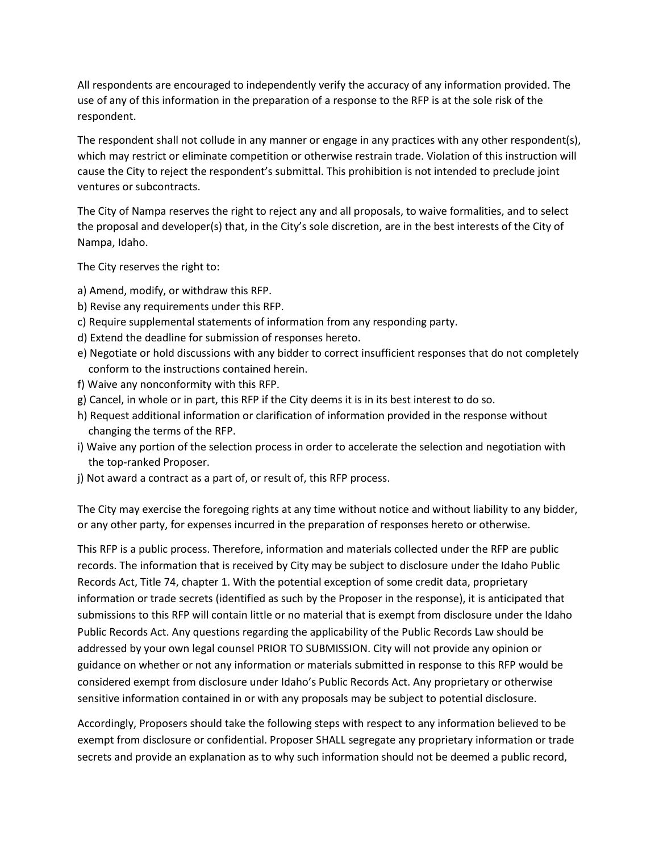All respondents are encouraged to independently verify the accuracy of any information provided. The use of any of this information in the preparation of a response to the RFP is at the sole risk of the respondent.

The respondent shall not collude in any manner or engage in any practices with any other respondent(s), which may restrict or eliminate competition or otherwise restrain trade. Violation of this instruction will cause the City to reject the respondent's submittal. This prohibition is not intended to preclude joint ventures or subcontracts.

The City of Nampa reserves the right to reject any and all proposals, to waive formalities, and to select the proposal and developer(s) that, in the City's sole discretion, are in the best interests of the City of Nampa, Idaho.

The City reserves the right to:

- a) Amend, modify, or withdraw this RFP.
- b) Revise any requirements under this RFP.
- c) Require supplemental statements of information from any responding party.
- d) Extend the deadline for submission of responses hereto.
- e) Negotiate or hold discussions with any bidder to correct insufficient responses that do not completely conform to the instructions contained herein.
- f) Waive any nonconformity with this RFP.
- g) Cancel, in whole or in part, this RFP if the City deems it is in its best interest to do so.
- h) Request additional information or clarification of information provided in the response without changing the terms of the RFP.
- i) Waive any portion of the selection process in order to accelerate the selection and negotiation with the top-ranked Proposer.
- j) Not award a contract as a part of, or result of, this RFP process.

The City may exercise the foregoing rights at any time without notice and without liability to any bidder, or any other party, for expenses incurred in the preparation of responses hereto or otherwise.

This RFP is a public process. Therefore, information and materials collected under the RFP are public records. The information that is received by City may be subject to disclosure under the Idaho Public Records Act, Title 74, chapter 1. With the potential exception of some credit data, proprietary information or trade secrets (identified as such by the Proposer in the response), it is anticipated that submissions to this RFP will contain little or no material that is exempt from disclosure under the Idaho Public Records Act. Any questions regarding the applicability of the Public Records Law should be addressed by your own legal counsel PRIOR TO SUBMISSION. City will not provide any opinion or guidance on whether or not any information or materials submitted in response to this RFP would be considered exempt from disclosure under Idaho's Public Records Act. Any proprietary or otherwise sensitive information contained in or with any proposals may be subject to potential disclosure.

Accordingly, Proposers should take the following steps with respect to any information believed to be exempt from disclosure or confidential. Proposer SHALL segregate any proprietary information or trade secrets and provide an explanation as to why such information should not be deemed a public record,